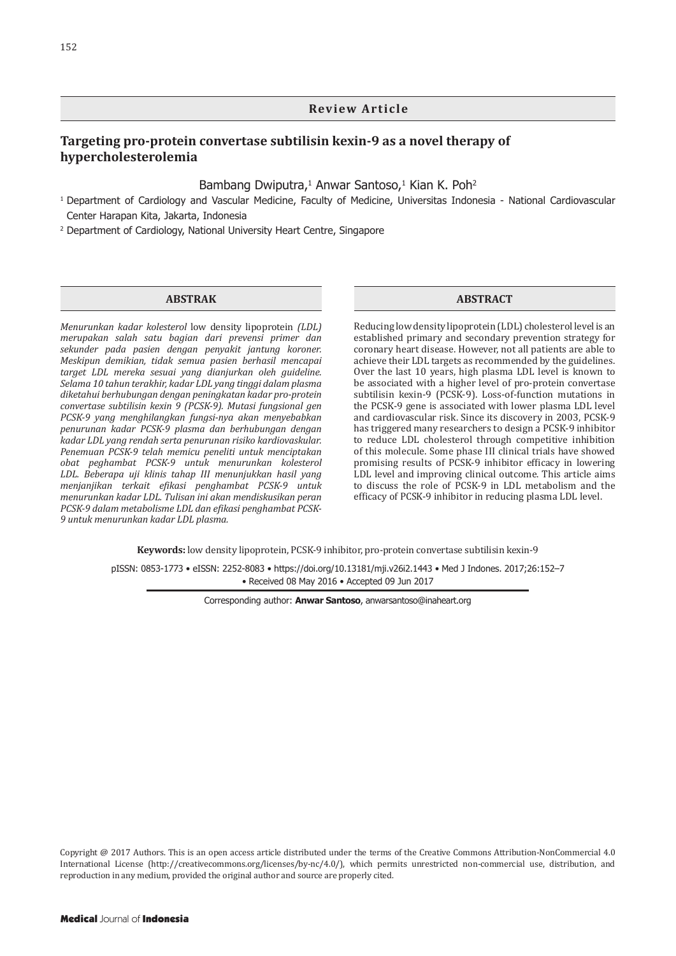### **Review Article**

# **Targeting pro-protein convertase subtilisin kexin-9 as a novel therapy of hypercholesterolemia**

### Bambang Dwiputra,<sup>1</sup> Anwar Santoso,<sup>1</sup> Kian K. Poh<sup>2</sup>

- <sup>1</sup> Department of Cardiology and Vascular Medicine, Faculty of Medicine, Universitas Indonesia National Cardiovascular Center Harapan Kita, Jakarta, Indonesia
- <sup>2</sup> Department of Cardiology, National University Heart Centre, Singapore

#### **ABSTRAK**

*Menurunkan kadar kolesterol* low density lipoprotein *(LDL) merupakan salah satu bagian dari prevensi primer dan sekunder pada pasien dengan penyakit jantung koroner. Meskipun demikian, tidak semua pasien berhasil mencapai target LDL mereka sesuai yang dianjurkan oleh guideline. Selama 10 tahun terakhir, kadar LDL yang tinggi dalam plasma diketahui berhubungan dengan peningkatan kadar pro-protein convertase subtilisin kexin 9 (PCSK-9). Mutasi fungsional gen PCSK-9 yang menghilangkan fungsi-nya akan menyebabkan penurunan kadar PCSK-9 plasma dan berhubungan dengan kadar LDL yang rendah serta penurunan risiko kardiovaskular. Penemuan PCSK-9 telah memicu peneliti untuk menciptakan obat peghambat PCSK-9 untuk menurunkan kolesterol LDL. Beberapa uji klinis tahap III menunjukkan hasil yang menjanjikan terkait efikasi penghambat PCSK-9 untuk menurunkan kadar LDL. Tulisan ini akan mendiskusikan peran PCSK-9 dalam metabolisme LDL dan efikasi penghambat PCSK-9 untuk menurunkan kadar LDL plasma.*

#### **ABSTRACT**

Reducing low density lipoprotein (LDL) cholesterol level is an established primary and secondary prevention strategy for coronary heart disease. However, not all patients are able to achieve their LDL targets as recommended by the guidelines. Over the last 10 years, high plasma LDL level is known to be associated with a higher level of pro-protein convertase subtilisin kexin-9 (PCSK-9). Loss-of-function mutations in the PCSK-9 gene is associated with lower plasma LDL level and cardiovascular risk. Since its discovery in 2003, PCSK-9 has triggered many researchers to design a PCSK-9 inhibitor to reduce LDL cholesterol through competitive inhibition of this molecule. Some phase III clinical trials have showed promising results of PCSK-9 inhibitor efficacy in lowering LDL level and improving clinical outcome. This article aims to discuss the role of PCSK-9 in LDL metabolism and the efficacy of PCSK-9 inhibitor in reducing plasma LDL level.

**Keywords:** low density lipoprotein, PCSK-9 inhibitor, pro-protein convertase subtilisin kexin-9

pISSN: 0853-1773 • eISSN: 2252-8083 • https://doi.org/10.13181/mji.v26i2.1443 • [Med J Indones. 2017;26:1](https://doi.org/10.13181/mji.v26i2.1443)52–7 • Received 08 May 2016 • Accepted 09 Jun 2017

Corresponding author: **Anwar Santoso**, anwarsantoso@inaheart.org

Copyright @ 2017 Authors. This is an open access article distributed under the terms of the Creative Commons Attribution-NonCommercial 4.0 International License (http://creativecommons.org/licenses/by-nc/4.0/), which permits unrestricted non-commercial use, distribution, and reproduction in any medium, provided the original author and source are properly cited.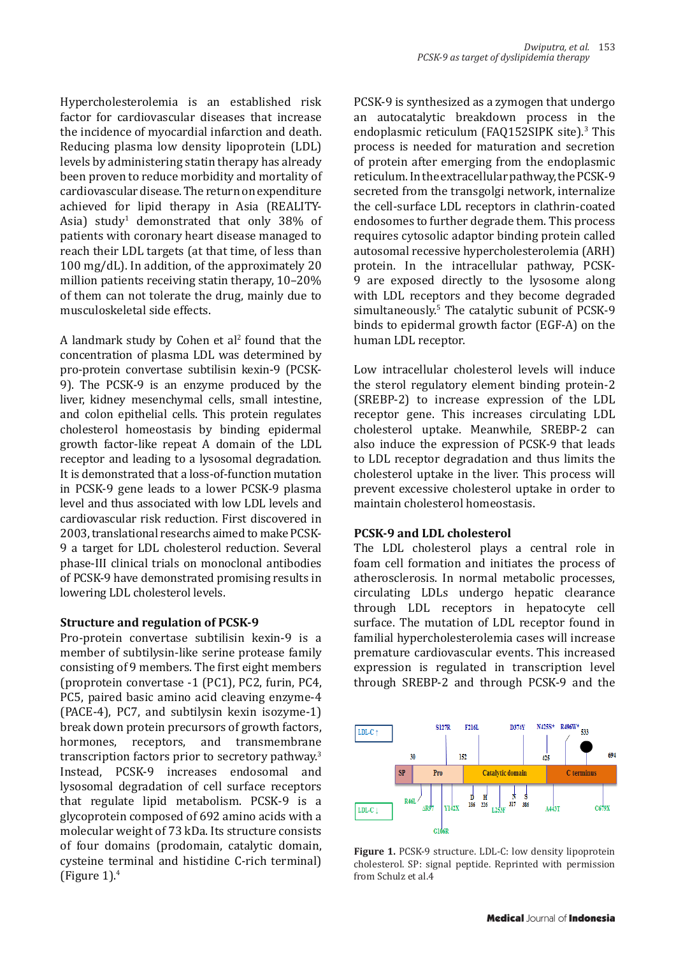Hypercholesterolemia is an established risk factor for cardiovascular diseases that increase the incidence of myocardial infarction and death. Reducing plasma low density lipoprotein (LDL) levels by administering statin therapy has already been proven to reduce morbidity and mortality of cardiovascular disease. The return on expenditure achieved for lipid therapy in Asia (REALITY-Asia) study<sup>1</sup> demonstrated that only 38% of patients with coronary heart disease managed to reach their LDL targets (at that time, of less than 100 mg/dL). In addition, of the approximately 20 million patients receiving statin therapy, 10–20% of them can not tolerate the drug, mainly due to musculoskeletal side effects.

A landmark study by Cohen et al<sup>2</sup> found that the concentration of plasma LDL was determined by pro-protein convertase subtilisin kexin-9 (PCSK-9). The PCSK-9 is an enzyme produced by the liver, kidney mesenchymal cells, small intestine, and colon epithelial cells. This protein regulates cholesterol homeostasis by binding epidermal growth factor-like repeat A domain of the LDL receptor and leading to a lysosomal degradation. It is demonstrated that a loss-of-function mutation in PCSK-9 gene leads to a lower PCSK-9 plasma level and thus associated with low LDL levels and cardiovascular risk reduction. First discovered in 2003, translational researchs aimed to make PCSK-9 a target for LDL cholesterol reduction. Several phase-III clinical trials on monoclonal antibodies of PCSK-9 have demonstrated promising results in lowering LDL cholesterol levels.

## **Structure and regulation of PCSK-9**

Pro-protein convertase subtilisin kexin-9 is a member of subtilysin-like serine protease family consisting of 9 members. The first eight members (proprotein convertase -1 (PC1), PC2, furin, PC4, PC5, paired basic amino acid cleaving enzyme-4 (PACE-4), PC7, and subtilysin kexin isozyme-1) break down protein precursors of growth factors,<br>hormones, receptors, and transmembrane and transmembrane transcription factors prior to secretory pathway.3 Instead, PCSK-9 increases endosomal and lysosomal degradation of cell surface receptors that regulate lipid metabolism. PCSK-9 is a glycoprotein composed of 692 amino acids with a molecular weight of 73 kDa. Its structure consists of four domains (prodomain, catalytic domain, cysteine terminal and histidine C-rich terminal) (Figure  $1$ ).<sup>4</sup>

PCSK-9 is synthesized as a zymogen that undergo an autocatalytic breakdown process in the endoplasmic reticulum (FAQ152SIPK site).<sup>3</sup> This process is needed for maturation and secretion of protein after emerging from the endoplasmic reticulum. In the extracellular pathway, the PCSK-9 secreted from the transgolgi network, internalize the cell-surface LDL receptors in clathrin-coated endosomes to further degrade them. This process requires cytosolic adaptor binding protein called autosomal recessive hypercholesterolemia (ARH) protein. In the intracellular pathway, PCSK-9 are exposed directly to the lysosome along with LDL receptors and they become degraded simultaneously.<sup>5</sup> The catalytic subunit of PCSK-9 binds to epidermal growth factor (EGF-A) on the human LDL receptor.

Low intracellular cholesterol levels will induce the sterol regulatory element binding protein-2 (SREBP-2) to increase expression of the LDL receptor gene. This increases circulating LDL cholesterol uptake. Meanwhile, SREBP-2 can also induce the expression of PCSK-9 that leads to LDL receptor degradation and thus limits the cholesterol uptake in the liver. This process will prevent excessive cholesterol uptake in order to maintain cholesterol homeostasis.

## **PCSK-9 and LDL cholesterol**

The LDL cholesterol plays a central role in foam cell formation and initiates the process of atherosclerosis. In normal metabolic processes, circulating LDLs undergo hepatic clearance through LDL receptors in hepatocyte cell surface. The mutation of LDL receptor found in familial hypercholesterolemia cases will increase premature cardiovascular events. This increased expression is regulated in transcription level through SREBP-2 and through PCSK-9 and the



**Figure 1.** PCSK-9 structure. LDL-C: low density lipoprotein cholesterol. SP: signal peptide. Reprinted with permission from Schulz et al.4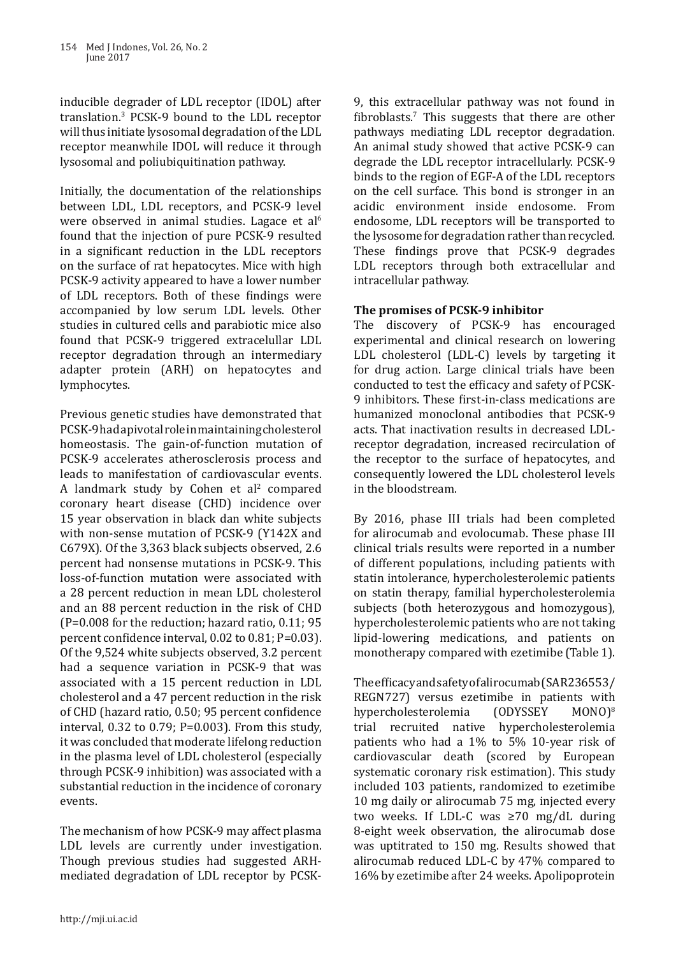inducible degrader of LDL receptor (IDOL) after translation.<sup>3</sup> PCSK-9 bound to the LDL receptor will thus initiate lysosomal degradation of the LDL receptor meanwhile IDOL will reduce it through lysosomal and poliubiquitination pathway.

Initially, the documentation of the relationships between LDL, LDL receptors, and PCSK-9 level were observed in animal studies. Lagace et al<sup>6</sup> found that the injection of pure PCSK-9 resulted in a significant reduction in the LDL receptors on the surface of rat hepatocytes. Mice with high PCSK-9 activity appeared to have a lower number of LDL receptors. Both of these findings were accompanied by low serum LDL levels. Other studies in cultured cells and parabiotic mice also found that PCSK-9 triggered extracelullar LDL receptor degradation through an intermediary adapter protein (ARH) on hepatocytes and lymphocytes.

Previous genetic studies have demonstrated that PCSK-9 had a pivotal role in maintaining cholesterol homeostasis. The gain-of-function mutation of PCSK-9 accelerates atherosclerosis process and leads to manifestation of cardiovascular events. A landmark study by Cohen et al<sup>2</sup> compared coronary heart disease (CHD) incidence over 15 year observation in black dan white subjects with non-sense mutation of PCSK-9 (Y142X and C679X). Of the 3,363 black subjects observed, 2.6 percent had nonsense mutations in PCSK-9. This loss-of-function mutation were associated with a 28 percent reduction in mean LDL cholesterol and an 88 percent reduction in the risk of CHD (P=0.008 for the reduction; hazard ratio, 0.11; 95 percent confidence interval, 0.02 to 0.81; P=0.03). Of the 9,524 white subjects observed, 3.2 percent had a sequence variation in PCSK-9 that was associated with a 15 percent reduction in LDL cholesterol and a 47 percent reduction in the risk of CHD (hazard ratio, 0.50; 95 percent confidence interval, 0.32 to 0.79; P=0.003). From this study, it was concluded that moderate lifelong reduction in the plasma level of LDL cholesterol (especially through PCSK-9 inhibition) was associated with a substantial reduction in the incidence of coronary events.

The mechanism of how PCSK-9 may affect plasma LDL levels are currently under investigation. Though previous studies had suggested ARHmediated degradation of LDL receptor by PCSK-

9, this extracellular pathway was not found in  $fibroblasts.$  This suggests that there are other pathways mediating LDL receptor degradation. An animal study showed that active PCSK-9 can degrade the LDL receptor intracellularly. PCSK-9 binds to the region of EGF-A of the LDL receptors on the cell surface. This bond is stronger in an acidic environment inside endosome. From endosome, LDL receptors will be transported to the lysosome for degradation rather than recycled. These findings prove that PCSK-9 degrades LDL receptors through both extracellular and intracellular pathway.

# **The promises of PCSK-9 inhibitor**

The discovery of PCSK-9 has encouraged experimental and clinical research on lowering LDL cholesterol (LDL-C) levels by targeting it for drug action. Large clinical trials have been conducted to test the efficacy and safety of PCSK-9 inhibitors. These first-in-class medications are humanized monoclonal antibodies that PCSK-9 acts. That inactivation results in decreased LDLreceptor degradation, increased recirculation of the receptor to the surface of hepatocytes, and consequently lowered the LDL cholesterol levels in the bloodstream.

By 2016, phase III trials had been completed for alirocumab and evolocumab. These phase III clinical trials results were reported in a number of different populations, including patients with statin intolerance, hypercholesterolemic patients on statin therapy, familial hypercholesterolemia subjects (both heterozygous and homozygous), hypercholesterolemic patients who are not taking lipid-lowering medications, and patients on monotherapy compared with ezetimibe (Table 1).

The efficacy and safety of alirocumab (SAR236553/ REGN727) versus ezetimibe in patients with<br>hypercholesterolemia  $(ODYSSEY - MONO)<sup>8</sup>$ hypercholesterolemia trial recruited native hypercholesterolemia patients who had a 1% to 5% 10-year risk of cardiovascular death (scored by European systematic coronary risk estimation). This study included 103 patients, randomized to ezetimibe 10 mg daily or alirocumab 75 mg, injected every two weeks. If LDL-C was ≥70 mg/dL during 8-eight week observation, the alirocumab dose was uptitrated to 150 mg. Results showed that alirocumab reduced LDL-C by 47% compared to 16% by ezetimibe after 24 weeks. Apolipoprotein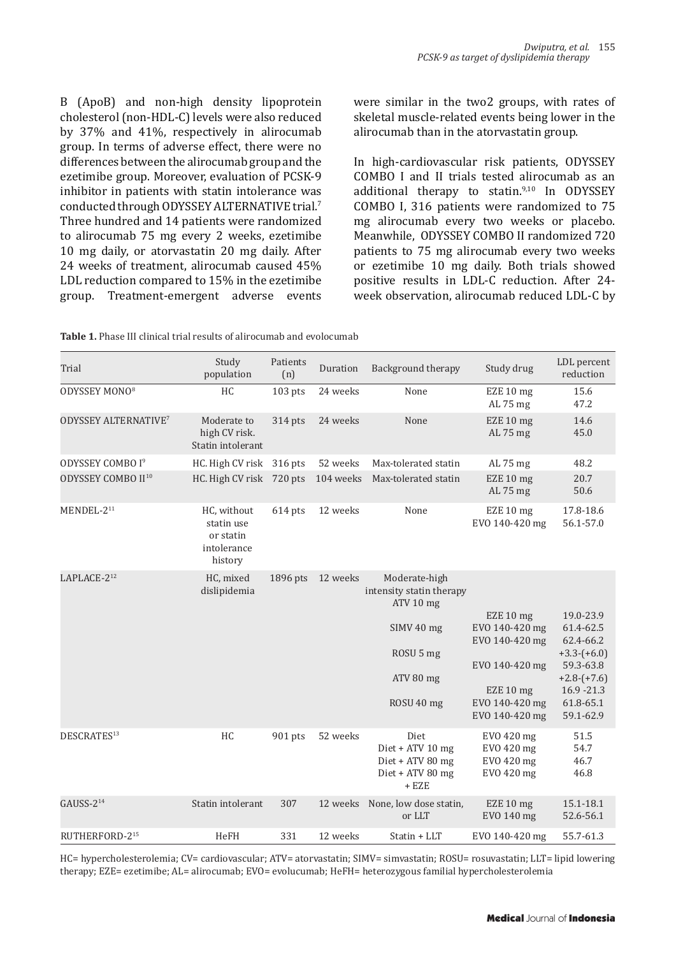B (ApoB) and non-high density lipoprotein cholesterol (non-HDL-C) levels were also reduced by 37% and 41%, respectively in alirocumab group. In terms of adverse effect, there were no differences between the alirocumab group and the ezetimibe group. Moreover, evaluation of PCSK-9 inhibitor in patients with statin intolerance was conducted through ODYSSEY ALTERNATIVE trial.<sup>7</sup> Three hundred and 14 patients were randomized to alirocumab 75 mg every 2 weeks, ezetimibe 10 mg daily, or atorvastatin 20 mg daily. After 24 weeks of treatment, alirocumab caused 45% LDL reduction compared to 15% in the ezetimibe group. Treatment-emergent adverse events were similar in the two2 groups, with rates of skeletal muscle-related events being lower in the alirocumab than in the atorvastatin group.

In high-cardiovascular risk patients, ODYSSEY COMBO I and II trials tested alirocumab as an additional therapy to statin.9,10 In ODYSSEY COMBO I, 316 patients were randomized to 75 mg alirocumab every two weeks or placebo. Meanwhile, ODYSSEY COMBO II randomized 720 patients to 75 mg alirocumab every two weeks or ezetimibe 10 mg daily. Both trials showed positive results in LDL-C reduction. After 24 week observation, alirocumab reduced LDL-C by

| <b>Table 1.</b> Phase III clinical trial results of alirocumab and evolocumab |  |
|-------------------------------------------------------------------------------|--|
|-------------------------------------------------------------------------------|--|

| Trial                                  | Study<br>population                                              | Patients<br>(n) | Duration  | Background therapy                                                                                           | Study drug                                                                                                       | LDL percent<br>reduction                                                                                                      |
|----------------------------------------|------------------------------------------------------------------|-----------------|-----------|--------------------------------------------------------------------------------------------------------------|------------------------------------------------------------------------------------------------------------------|-------------------------------------------------------------------------------------------------------------------------------|
| ODYSSEY MONO <sup>8</sup>              | <b>HC</b>                                                        | $103$ pts       | 24 weeks  | None                                                                                                         | EZE 10 mg<br>AL 75 mg                                                                                            | 15.6<br>47.2                                                                                                                  |
| <b>ODYSSEY ALTERNATIVE<sup>7</sup></b> | Moderate to<br>high CV risk.<br>Statin intolerant                | 314 pts         | 24 weeks  | None                                                                                                         | EZE 10 mg<br>AL 75 mg                                                                                            | 14.6<br>45.0                                                                                                                  |
| ODYSSEY COMBO I <sup>9</sup>           | HC. High CV risk                                                 | $316$ pts       | 52 weeks  | Max-tolerated statin                                                                                         | AL 75 mg                                                                                                         | 48.2                                                                                                                          |
| ODYSSEY COMBO II <sup>10</sup>         | HC. High CV risk 720 pts                                         |                 | 104 weeks | Max-tolerated statin                                                                                         | EZE 10 mg<br>AL 75 mg                                                                                            | 20.7<br>50.6                                                                                                                  |
| MENDEL-2 <sup>11</sup>                 | HC, without<br>statin use<br>or statin<br>intolerance<br>history | 614 pts         | 12 weeks  | None                                                                                                         | EZE 10 mg<br>EVO 140-420 mg                                                                                      | 17.8-18.6<br>56.1-57.0                                                                                                        |
| LAPLACE-212                            | HC, mixed<br>dislipidemia                                        | 1896 pts        | 12 weeks  | Moderate-high<br>intensity statin therapy<br>ATV 10 mg<br>SIMV 40 mg<br>ROSU 5 mg<br>ATV 80 mg<br>ROSU 40 mg | EZE 10 mg<br>EVO 140-420 mg<br>EVO 140-420 mg<br>EVO 140-420 mg<br>EZE 10 mg<br>EVO 140-420 mg<br>EVO 140-420 mg | 19.0-23.9<br>61.4-62.5<br>62.4-66.2<br>$+3.3-(+6.0)$<br>59.3-63.8<br>$+2.8-(+7.6)$<br>$16.9 - 21.3$<br>61.8-65.1<br>59.1-62.9 |
| DESCRATES <sup>13</sup>                | HC                                                               | 901 pts         | 52 weeks  | Diet<br>Diet + ATV 10 mg<br>Diet + ATV 80 mg<br>Diet + ATV 80 mg<br>+ EZE                                    | EVO 420 mg<br>EVO 420 mg<br>EVO 420 mg<br>EVO 420 mg                                                             | 51.5<br>54.7<br>46.7<br>46.8                                                                                                  |
| $GAUSS-214$                            | Statin intolerant                                                | 307             | 12 weeks  | None, low dose statin,<br>or LLT                                                                             | EZE 10 mg<br>EVO 140 mg                                                                                          | 15.1-18.1<br>52.6-56.1                                                                                                        |
| RUTHERFORD-215                         | <b>HeFH</b>                                                      | 331             | 12 weeks  | Statin + LLT                                                                                                 | EVO 140-420 mg                                                                                                   | 55.7-61.3                                                                                                                     |

HC= hypercholesterolemia; CV= cardiovascular; ATV= atorvastatin; SIMV= simvastatin; ROSU= rosuvastatin; LLT= lipid lowering therapy; EZE= ezetimibe; AL= alirocumab; EVO= evolucumab; HeFH= heterozygous familial hypercholesterolemia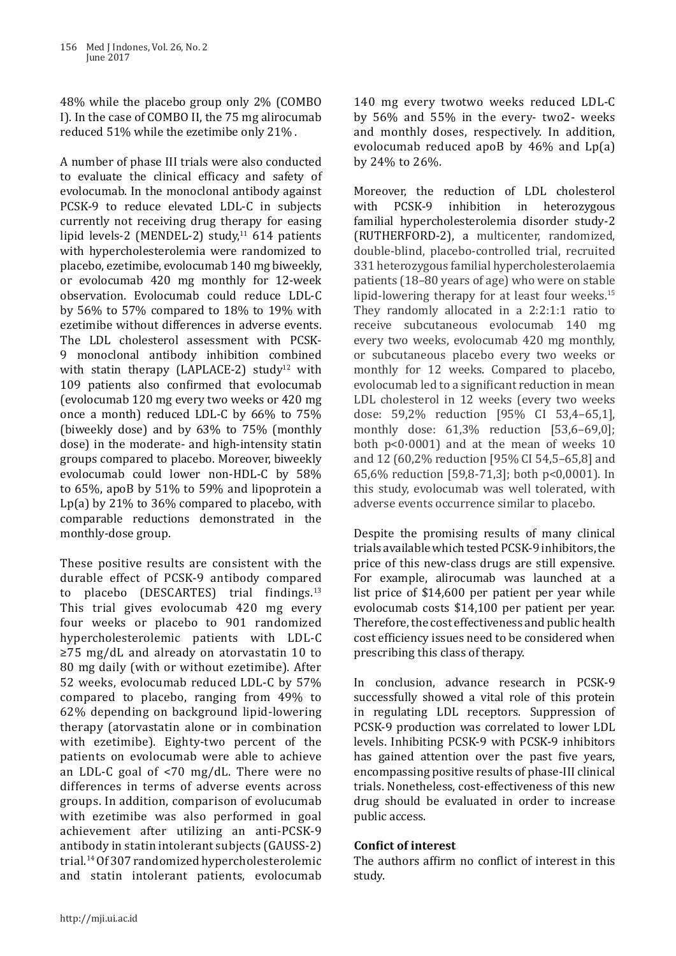48% while the placebo group only 2% (COMBO I). In the case of COMBO II, the 75 mg alirocumab reduced 51% while the ezetimibe only 21% .

A number of phase III trials were also conducted to evaluate the clinical efficacy and safety of evolocumab. In the monoclonal antibody against PCSK-9 to reduce elevated LDL-C in subjects currently not receiving drug therapy for easing lipid levels-2 (MENDEL-2) study, $11$  614 patients with hypercholesterolemia were randomized to placebo, ezetimibe, evolocumab 140 mg biweekly, or evolocumab 420 mg monthly for 12-week observation. Evolocumab could reduce LDL-C by 56% to 57% compared to 18% to 19% with ezetimibe without differences in adverse events. The LDL cholesterol assessment with PCSK-9 monoclonal antibody inhibition combined with statin therapy (LAPLACE-2) study<sup>12</sup> with 109 patients also confirmed that evolocumab (evolocumab 120 mg every two weeks or 420 mg once a month) reduced LDL-C by 66% to 75% (biweekly dose) and by 63% to 75% (monthly dose) in the moderate- and high-intensity statin groups compared to placebo. Moreover, biweekly evolocumab could lower non-HDL-C by 58% to 65%, apoB by 51% to 59% and lipoprotein a Lp(a) by 21% to 36% compared to placebo, with comparable reductions demonstrated in the monthly-dose group.

These positive results are consistent with the durable effect of PCSK-9 antibody compared to placebo (DESCARTES) trial findings. $13$ This trial gives evolocumab 420 mg every four weeks or placebo to 901 randomized hypercholesterolemic patients with LDL-C ≥75 mg/dL and already on atorvastatin 10 to 80 mg daily (with or without ezetimibe). After 52 weeks, evolocumab reduced LDL-C by 57% compared to placebo, ranging from 49% to 62% depending on background lipid-lowering therapy (atorvastatin alone or in combination with ezetimibe). Eighty-two percent of the patients on evolocumab were able to achieve an LDL-C goal of <70 mg/dL. There were no differences in terms of adverse events across groups. In addition, comparison of evolucumab with ezetimibe was also performed in goal achievement after utilizing an anti-PCSK-9 antibody in statin intolerant subjects (GAUSS-2) trial.14 Of 307 randomized hypercholesterolemic and statin intolerant patients, evolocumab

140 mg every twotwo weeks reduced LDL-C by 56% and 55% in the every- two2- weeks and monthly doses, respectively. In addition, evolocumab reduced apoB by 46% and Lp(a) by 24% to 26%.

Moreover, the reduction of LDL cholesterol<br>with PCSK-9 inhibition in heterozygous heterozygous familial hypercholesterolemia disorder study-2 (RUTHERFORD-2), a multicenter, randomized, double-blind, placebo-controlled trial, recruited 331 heterozygous familial hypercholesterolaemia patients (18–80 years of age) who were on stable lipid-lowering therapy for at least four weeks. $15$ They randomly allocated in a 2:2:1:1 ratio to receive subcutaneous evolocumab 140 mg every two weeks, evolocumab 420 mg monthly, or subcutaneous placebo every two weeks or monthly for 12 weeks. Compared to placebo, evolocumab led to a significant reduction in mean LDL cholesterol in 12 weeks (every two weeks dose: 59,2% reduction [95% CI 53,4–65,1], monthly dose: 61,3% reduction [53,6–69,0]; both  $p<0.0001$  and at the mean of weeks 10 and 12 (60,2% reduction [95% CI 54,5–65,8] and 65,6% reduction [59,8-71,3]; both p<0,0001). In this study, evolocumab was well tolerated, with adverse events occurrence similar to placebo.

Despite the promising results of many clinical trials available which tested PCSK-9 inhibitors, the price of this new-class drugs are still expensive. For example, alirocumab was launched at a list price of \$14,600 per patient per year while evolocumab costs \$14,100 per patient per year. Therefore, the cost effectiveness and public health cost efficiency issues need to be considered when prescribing this class of therapy.

In conclusion, advance research in PCSK-9 successfully showed a vital role of this protein in regulating LDL receptors. Suppression of PCSK-9 production was correlated to lower LDL levels. Inhibiting PCSK-9 with PCSK-9 inhibitors has gained attention over the past five years, encompassing positive results of phase-III clinical trials. Nonetheless, cost-effectiveness of this new drug should be evaluated in order to increase public access.

## **Confict of interest**

The authors affirm no conflict of interest in this study.